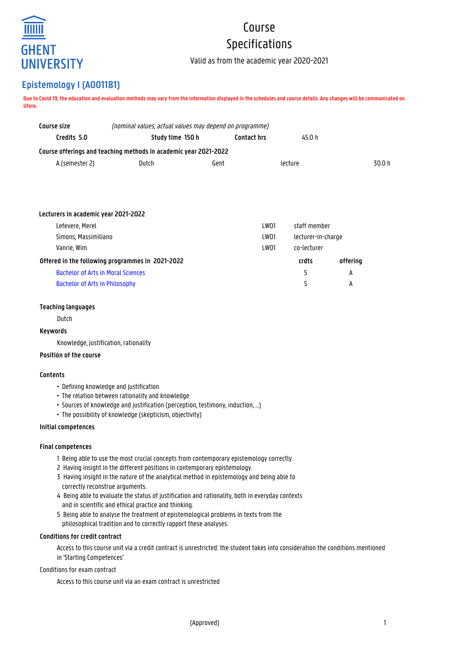

# Course Specifications

Valid as from the academic year 2020-2021

# **Epistemology I (A001181)**

**Due to Covid 19, the education and evaluation methods may vary from the information displayed in the schedules and course details. Any changes will be communicated on Ufora.**

| Course size                                      | (nominal values; actual values may depend on programme)          |  |                              |                    |          |        |
|--------------------------------------------------|------------------------------------------------------------------|--|------------------------------|--------------------|----------|--------|
| Credits 5.0                                      | Study time 150 h                                                 |  | <b>Contact hrs</b><br>45.0 h |                    |          |        |
|                                                  | Course offerings and teaching methods in academic year 2021-2022 |  |                              |                    |          |        |
| A (semester 2)                                   | Dutch<br>Gent                                                    |  | lecture                      |                    |          | 30.0 h |
|                                                  |                                                                  |  |                              |                    |          |        |
|                                                  |                                                                  |  |                              |                    |          |        |
|                                                  |                                                                  |  |                              |                    |          |        |
| Lecturers in academic year 2021-2022             |                                                                  |  |                              |                    |          |        |
| Lefevere, Merel                                  |                                                                  |  | LW01                         | staff member       |          |        |
| Simons, Massimiliano                             |                                                                  |  | LW01                         | lecturer-in-charge |          |        |
| Vanrie, Wim                                      |                                                                  |  | LW01                         | co-lecturer        |          |        |
| Offered in the following programmes in 2021-2022 |                                                                  |  |                              | crdts              | offering |        |
|                                                  | <b>Bachelor of Arts in Moral Sciences</b>                        |  |                              | 5                  | A        |        |
| <b>Bachelor of Arts in Philosophy</b>            |                                                                  |  |                              | 5                  | А        |        |
|                                                  |                                                                  |  |                              |                    |          |        |

### **Teaching languages**

Dutch

#### **Keywords**

Knowledge, justification, rationality

# **Position of the course**

#### **Contents**

- Defining knowledge and justification
- The relation between rationality and knowledge
- Sources of knowledge and justification (perception, testimony, induction, ...)
- The possibility of knowledge (skepticism, objectivity)

#### **Initial competences**

#### **Final competences**

- 1 Being able to use the most crucial concepts from contemporary epistemology correctly.
- 2 Having insight in the different positions in contemporary epistemology.
- 3 Having insight in the nature of the analytical method in epistemology and being able to correctly reconstrue arguments.
- 4 Being able to evaluate the status of justification and rationality, both in everyday contexts and in scientific and ethical practice and thinking.
- 5 Being able to analyse the treatment of epistemological problems in texts from the philosophical tradition and to correctly rapport these analyses.

#### **Conditions for credit contract**

Access to this course unit via a credit contract is unrestricted: the student takes into consideration the conditions mentioned in 'Starting Competences'

# Conditions for exam contract

Access to this course unit via an exam contract is unrestricted